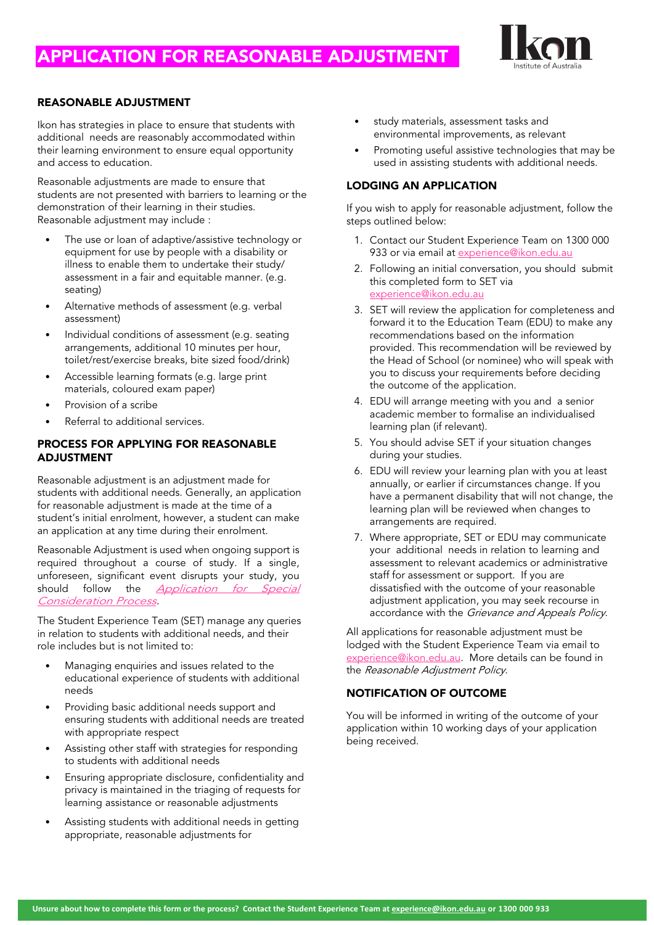## APPLICATION FOR REASONABLE ADJUSTMENT



#### REASONABLE ADJUSTMENT

Ikon has strategies in place to ensure that students with additional needs are reasonably accommodated within their learning environment to ensure equal opportunity and access to education.

Reasonable adjustments are made to ensure that students are not presented with barriers to learning or the demonstration of their learning in their studies. Reasonable adjustment may include :

- The use or loan of adaptive/assistive technology or equipment for use by people with a disability or illness to enable them to undertake their study/ assessment in a fair and equitable manner. (e.g. seating)
- Alternative methods of assessment (e.g. verbal assessment)
- Individual conditions of assessment (e.g. seating arrangements, additional 10 minutes per hour, toilet/rest/exercise breaks, bite sized food/drink)
- Accessible learning formats (e.g. large print materials, coloured exam paper)
- Provision of a scribe
- Referral to additional services.

#### PROCESS FOR APPLYING FOR REASONABLE ADJUSTMENT

Reasonable adjustment is an adjustment made for students with additional needs. Generally, an application for reasonable adjustment is made at the time of a student's initial enrolment, however, a student can make an application at any time during their enrolment.

Reasonable Adjustment is used when ongoing support is required throughout a course of study. If a single, unforeseen, significant event disrupts your study, you should follow the *[Application](https://ikon.edu.au/policies-procedures/) for Special* [Consideration](https://ikon.edu.au/policies-procedures/) Process.

The Student Experience Team (SET) manage any queries in relation to students with additional needs, and their role includes but is not limited to:

- Managing enquiries and issues related to the educational experience of students with additional needs
- Providing basic additional needs support and ensuring students with additional needs are treated with appropriate respect
- Assisting other staff with strategies for responding to students with additional needs
- Ensuring appropriate disclosure, confidentiality and privacy is maintained in the triaging of requests for learning assistance or reasonable adjustments
- Assisting students with additional needs in getting appropriate, reasonable adjustments for
- study materials, assessment tasks and environmental improvements, as relevant
- Promoting useful assistive technologies that may be used in assisting students with additional needs.

#### LODGING AN APPLICATION

If you wish to apply for reasonable adjustment, follow the steps outlined below:

- 1. Contact our Student Experience Team on 1300 000 933 or via email at [experience@ikon.edu.au](mailto:experience@ikon.edu.au)
- 2. Following an initial conversation, you should submit this completed form to SET via [experience@ikon.edu.au](mailto:experience@ikon.edu.au)
- 3. SET will review the application for completeness and forward it to the Education Team (EDU) to make any recommendations based on the information provided. This recommendation will be reviewed by the Head of School (or nominee) who will speak with you to discuss your requirements before deciding the outcome of the application.
- 4. EDU will arrange meeting with you and a senior academic member to formalise an individualised learning plan (if relevant).
- 5. You should advise SET if your situation changes during your studies.
- 6. EDU will review your learning plan with you at least annually, or earlier if circumstances change. If you have a permanent disability that will not change, the learning plan will be reviewed when changes to arrangements are required.
- 7. Where appropriate, SET or EDU may communicate your additional needs in relation to learning and assessment to relevant academics or administrative staff for assessment or support. If you are dissatisfied with the outcome of your reasonable adjustment application, you may seek recourse in accordance with the Grievance and Appeals Policy.

All applications for reasonable adjustment must be lodged with the Student Experience Team via email to [experience@ikon.edu.au.](mailto:experience@ikon.edu.au) More details can be found in the Reasonable Adjustment Policy.

#### NOTIFICATION OF OUTCOME

You will be informed in writing of the outcome of your application within 10 working days of your application being received.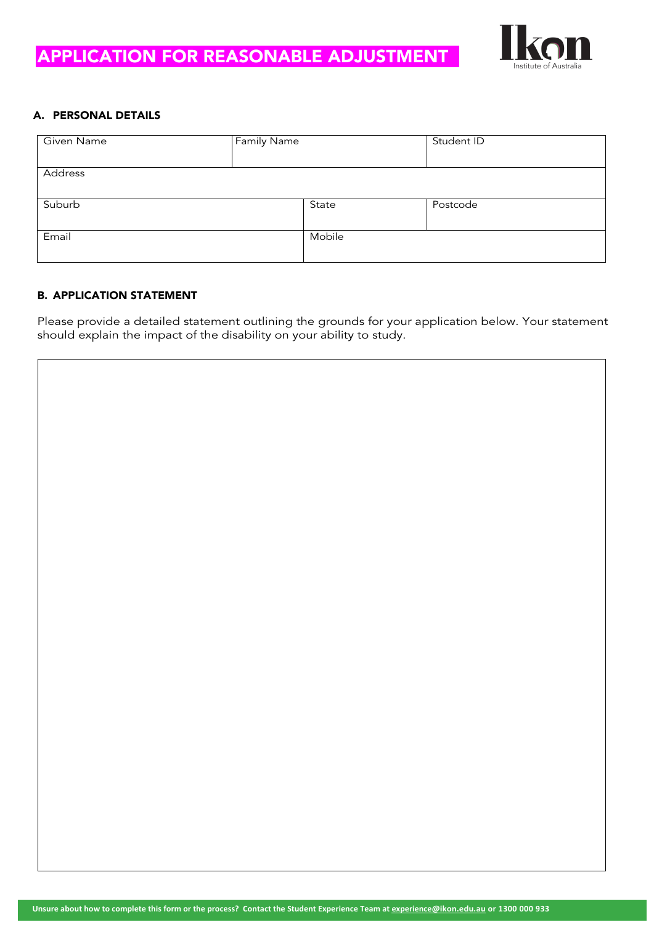## APPLICATION FOR REASONABLE ADJUSTMENT



#### A. PERSONAL DETAILS

| Given Name | <b>Family Name</b> |        | Student ID |
|------------|--------------------|--------|------------|
| Address    |                    |        |            |
| Suburb     |                    | State  | Postcode   |
| Email      |                    | Mobile |            |

#### B. APPLICATION STATEMENT

Please provide a detailed statement outlining the grounds for your application below. Your statement should explain the impact of the disability on your ability to study.

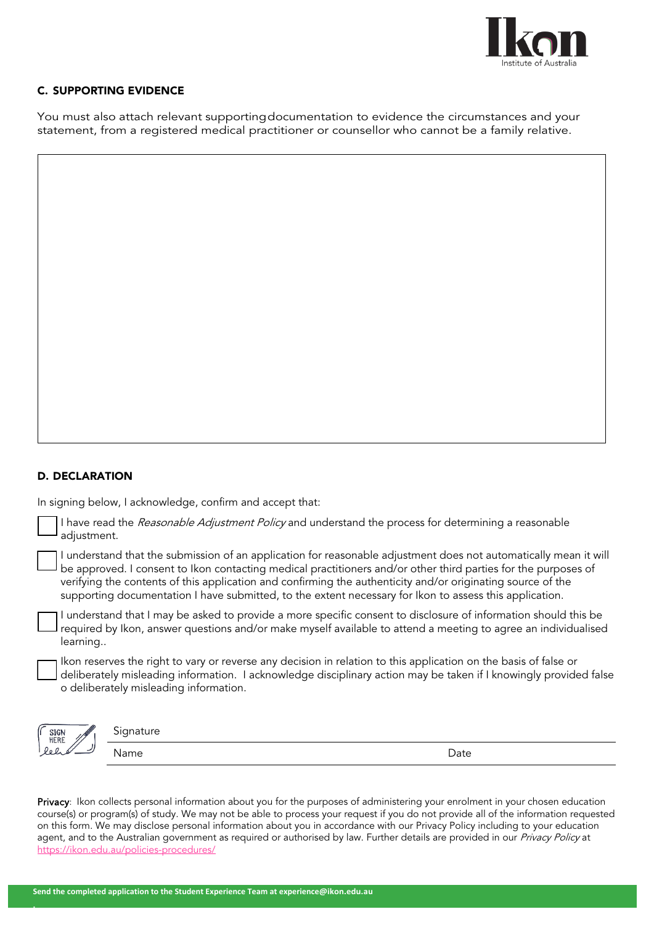

#### C. SUPPORTING EVIDENCE

You must also attach relevant supportingdocumentation to evidence the circumstances and your statement, from a registered medical practitioner or counsellor who cannot be a family relative.

#### D. DECLARATION

**.**

In signing below, I acknowledge, confirm and accept that:

| adjustment. | I have read the Reasonable Adjustment Policy and understand the process for determining a reasonable                                                                                                                                                                                                                                                                                                                                                         |      |
|-------------|--------------------------------------------------------------------------------------------------------------------------------------------------------------------------------------------------------------------------------------------------------------------------------------------------------------------------------------------------------------------------------------------------------------------------------------------------------------|------|
|             | I understand that the submission of an application for reasonable adjustment does not automatically mean it will<br>be approved. I consent to Ikon contacting medical practitioners and/or other third parties for the purposes of<br>verifying the contents of this application and confirming the authenticity and/or originating source of the<br>supporting documentation I have submitted, to the extent necessary for Ikon to assess this application. |      |
| learning    | I understand that I may be asked to provide a more specific consent to disclosure of information should this be<br>required by Ikon, answer questions and/or make myself available to attend a meeting to agree an individualised                                                                                                                                                                                                                            |      |
|             | Ikon reserves the right to vary or reverse any decision in relation to this application on the basis of false or<br>deliberately misleading information. I acknowledge disciplinary action may be taken if I knowingly provided false<br>o deliberately misleading information.                                                                                                                                                                              |      |
| <b>SIGN</b> | Signature                                                                                                                                                                                                                                                                                                                                                                                                                                                    |      |
|             | Name                                                                                                                                                                                                                                                                                                                                                                                                                                                         | Date |

Privacy: Ikon collects personal information about you for the purposes of administering your enrolment in your chosen education course(s) or program(s) of study. We may not be able to process your request if you do not provide all of the information requested on this form. We may disclose personal information about you in accordance with our Privacy Policy including to your education agent, and to the Australian government as required or authorised by law. Further details are provided in our Privacy Policy at <https://ikon.edu.au/policies-procedures/>